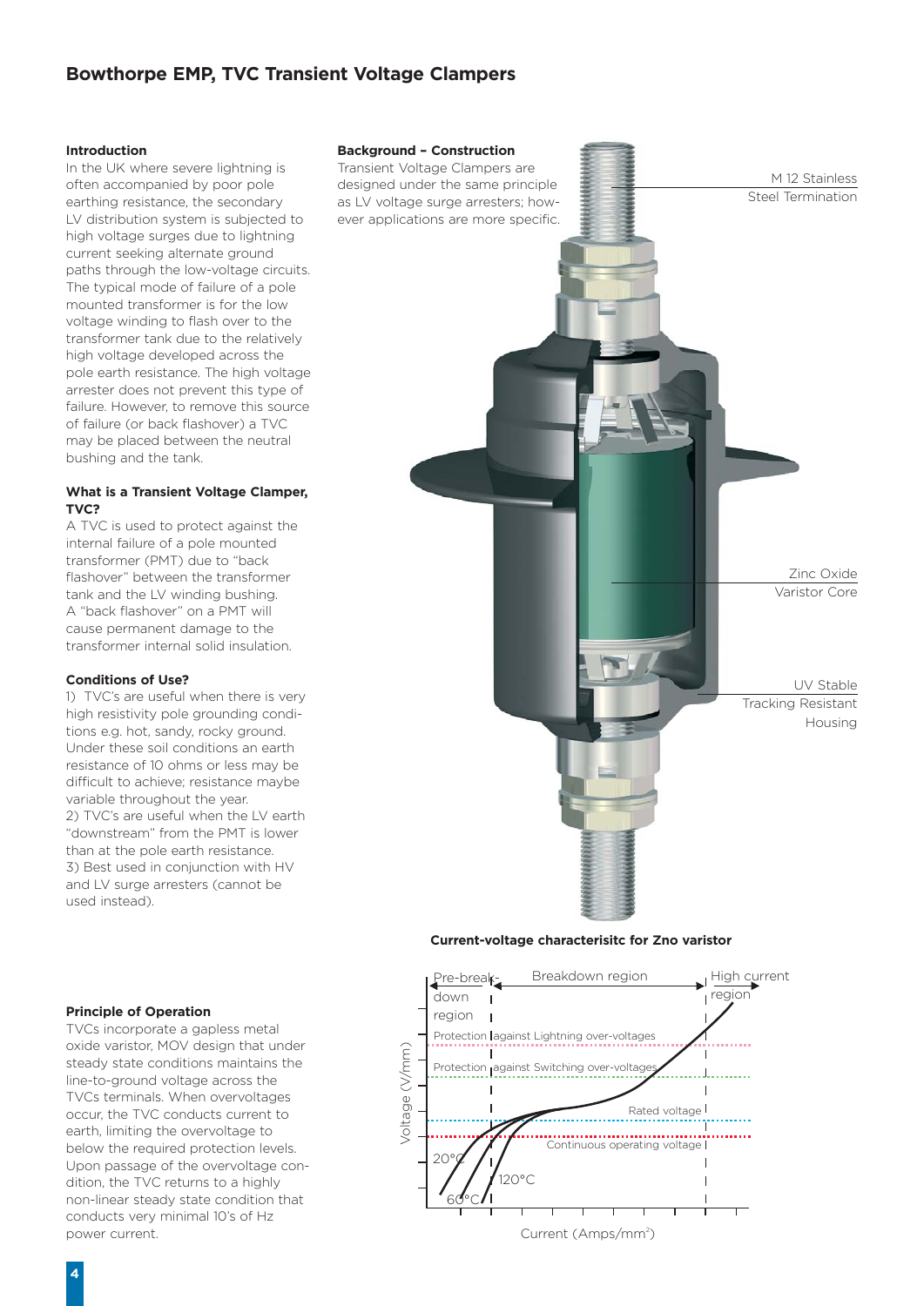# **Bowthorpe EMP, TVC Transient Voltage Clampers**

#### **Introduction**

In the UK where severe lightning is often accompanied by poor pole earthing resistance, the secondary LV distribution system is subjected to high voltage surges due to lightning current seeking alternate ground paths through the low-voltage circuits. The typical mode of failure of a pole mounted transformer is for the low voltage winding to flash over to the transformer tank due to the relatively high voltage developed across the pole earth resistance. The high voltage arrester does not prevent this type of failure. However, to remove this source of failure (or back flashover) a TVC may be placed between the neutral bushing and the tank.

## **What is a Transient Voltage Clamper, TVC?**

A TVC is used to protect against the internal failure of a pole mounted transformer (PMT) due to "back flashover" between the transformer tank and the LV winding bushing. A "back flashover" on a PMT will cause permanent damage to the transformer internal solid insulation.

## **Conditions of Use?**

1) TVC's are useful when there is very high resistivity pole grounding conditions e.g. hot, sandy, rocky ground. Under these soil conditions an earth resistance of 10 ohms or less may be difficult to achieve; resistance maybe variable throughout the year. 2) TVC's are useful when the LV earth "downstream" from the PMT is lower than at the pole earth resistance. 3) Best used in conjunction with HV and LV surge arresters (cannot be used instead).

#### **Background – Construction** Transient Voltage Clampers are



#### **Current-voltage characterisitc for Zno varistor**



## **Principle of Operation**

TVCs incorporate a gapless metal oxide varistor, MOV design that under steady state conditions maintains the line-to-ground voltage across the TVCs terminals. When overvoltages occur, the TVC conducts current to earth, limiting the overvoltage to below the required protection levels. Upon passage of the overvoltage condition, the TVC returns to a highly non-linear steady state condition that conducts very minimal 10's of Hz power current.